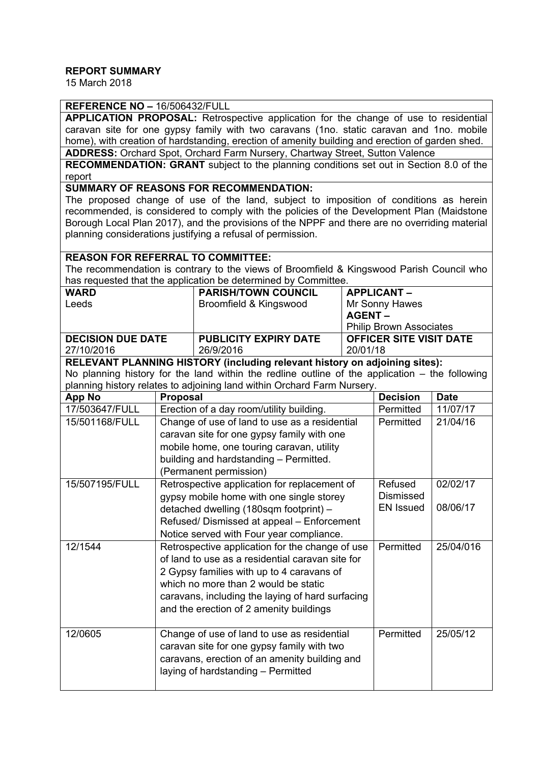### **REPORT SUMMARY**

15 March 2018

### **REFERENCE NO –** 16/506432/FULL

**APPLICATION PROPOSAL:** Retrospective application for the change of use to residential caravan site for one gypsy family with two caravans (1no. static caravan and 1no. mobile home), with creation of hardstanding, erection of amenity building and erection of garden shed. **ADDRESS:** Orchard Spot, Orchard Farm Nursery, Chartway Street, Sutton Valence

**RECOMMENDATION: GRANT** subject to the planning conditions set out in Section 8.0 of the report

**SUMMARY OF REASONS FOR RECOMMENDATION:**

The proposed change of use of the land, subject to imposition of conditions as herein recommended, is considered to comply with the policies of the Development Plan (Maidstone Borough Local Plan 2017), and the provisions of the NPPF and there are no overriding material planning considerations justifying a refusal of permission.

### **REASON FOR REFERRAL TO COMMITTEE:**

The recommendation is contrary to the views of Broomfield & Kingswood Parish Council who has requested that the application be determined by Committee.

| <b>WARD</b>              | <b>PARISH/TOWN COUNCIL</b>   | <b>APPLICANT-</b>              |  |
|--------------------------|------------------------------|--------------------------------|--|
| Leeds                    | Broomfield & Kingswood       | Mr Sonny Hawes                 |  |
|                          |                              | AGENT –                        |  |
|                          |                              | <b>Philip Brown Associates</b> |  |
| <b>DECISION DUE DATE</b> | <b>PUBLICITY EXPIRY DATE</b> | <b>OFFICER SITE VISIT DATE</b> |  |
| 27/10/2016               | 26/9/2016                    | 20/01/18                       |  |

**RELEVANT PLANNING HISTORY (including relevant history on adjoining sites):** No planning history for the land within the redline outline of the application – the following planning history relates to adjoining land within Orchard Farm Nursery.

| <b>App No</b>  | <b>Proposal</b>                                  | <b>Decision</b>  | <b>Date</b> |
|----------------|--------------------------------------------------|------------------|-------------|
| 17/503647/FULL | Erection of a day room/utility building.         | Permitted        | 11/07/17    |
| 15/501168/FULL | Change of use of land to use as a residential    | Permitted        | 21/04/16    |
|                | caravan site for one gypsy family with one       |                  |             |
|                | mobile home, one touring caravan, utility        |                  |             |
|                | building and hardstanding - Permitted.           |                  |             |
|                | (Permanent permission)                           |                  |             |
| 15/507195/FULL | Retrospective application for replacement of     | Refused          | 02/02/17    |
|                | gypsy mobile home with one single storey         | <b>Dismissed</b> |             |
|                | detached dwelling (180sqm footprint) -           | <b>EN Issued</b> | 08/06/17    |
|                | Refused/Dismissed at appeal - Enforcement        |                  |             |
|                | Notice served with Four year compliance.         |                  |             |
| 12/1544        | Retrospective application for the change of use  | Permitted        | 25/04/016   |
|                | of land to use as a residential caravan site for |                  |             |
|                | 2 Gypsy families with up to 4 caravans of        |                  |             |
|                | which no more than 2 would be static             |                  |             |
|                | caravans, including the laying of hard surfacing |                  |             |
|                | and the erection of 2 amenity buildings          |                  |             |
| 12/0605        | Change of use of land to use as residential      | Permitted        | 25/05/12    |
|                | caravan site for one gypsy family with two       |                  |             |
|                | caravans, erection of an amenity building and    |                  |             |
|                | laying of hardstanding - Permitted               |                  |             |
|                |                                                  |                  |             |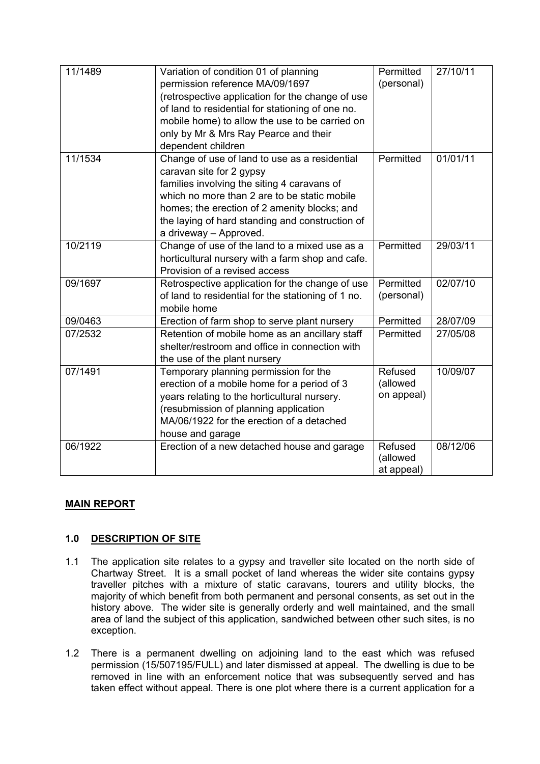| 11/1489 | Variation of condition 01 of planning<br>permission reference MA/09/1697<br>(retrospective application for the change of use<br>of land to residential for stationing of one no.<br>mobile home) to allow the use to be carried on<br>only by Mr & Mrs Ray Pearce and their<br>dependent children     | Permitted<br>(personal)           | 27/10/11 |
|---------|-------------------------------------------------------------------------------------------------------------------------------------------------------------------------------------------------------------------------------------------------------------------------------------------------------|-----------------------------------|----------|
| 11/1534 | Change of use of land to use as a residential<br>caravan site for 2 gypsy<br>families involving the siting 4 caravans of<br>which no more than 2 are to be static mobile<br>homes; the erection of 2 amenity blocks; and<br>the laying of hard standing and construction of<br>a driveway - Approved. | Permitted                         | 01/01/11 |
| 10/2119 | Change of use of the land to a mixed use as a<br>horticultural nursery with a farm shop and cafe.<br>Provision of a revised access                                                                                                                                                                    | Permitted                         | 29/03/11 |
| 09/1697 | Retrospective application for the change of use<br>of land to residential for the stationing of 1 no.<br>mobile home                                                                                                                                                                                  | Permitted<br>(personal)           | 02/07/10 |
| 09/0463 | Erection of farm shop to serve plant nursery                                                                                                                                                                                                                                                          | Permitted                         | 28/07/09 |
| 07/2532 | Retention of mobile home as an ancillary staff<br>shelter/restroom and office in connection with<br>the use of the plant nursery                                                                                                                                                                      | Permitted                         | 27/05/08 |
| 07/1491 | Temporary planning permission for the<br>erection of a mobile home for a period of 3<br>years relating to the horticultural nursery.<br>(resubmission of planning application<br>MA/06/1922 for the erection of a detached<br>house and garage                                                        | Refused<br>(allowed<br>on appeal) | 10/09/07 |
| 06/1922 | Erection of a new detached house and garage                                                                                                                                                                                                                                                           | Refused<br>(allowed<br>at appeal) | 08/12/06 |

# **MAIN REPORT**

# **1.0 DESCRIPTION OF SITE**

- 1.1 The application site relates to a gypsy and traveller site located on the north side of Chartway Street. It is a small pocket of land whereas the wider site contains gypsy traveller pitches with a mixture of static caravans, tourers and utility blocks, the majority of which benefit from both permanent and personal consents, as set out in the history above. The wider site is generally orderly and well maintained, and the small area of land the subject of this application, sandwiched between other such sites, is no exception.
- 1.2 There is a permanent dwelling on adjoining land to the east which was refused permission (15/507195/FULL) and later dismissed at appeal. The dwelling is due to be removed in line with an enforcement notice that was subsequently served and has taken effect without appeal. There is one plot where there is a current application for a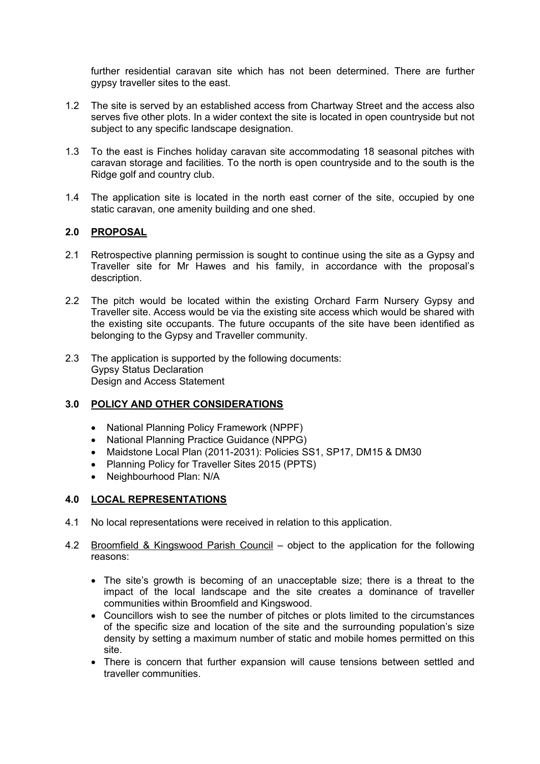further residential caravan site which has not been determined. There are further gypsy traveller sites to the east.

- 1.2 The site is served by an established access from Chartway Street and the access also serves five other plots. In a wider context the site is located in open countryside but not subject to any specific landscape designation.
- 1.3 To the east is Finches holiday caravan site accommodating 18 seasonal pitches with caravan storage and facilities. To the north is open countryside and to the south is the Ridge golf and country club.
- 1.4 The application site is located in the north east corner of the site, occupied by one static caravan, one amenity building and one shed.

## **2.0 PROPOSAL**

- 2.1 Retrospective planning permission is sought to continue using the site as a Gypsy and Traveller site for Mr Hawes and his family, in accordance with the proposal's description.
- 2.2 The pitch would be located within the existing Orchard Farm Nursery Gypsy and Traveller site. Access would be via the existing site access which would be shared with the existing site occupants. The future occupants of the site have been identified as belonging to the Gypsy and Traveller community.
- 2.3 The application is supported by the following documents: Gypsy Status Declaration Design and Access Statement

# **3.0 POLICY AND OTHER CONSIDERATIONS**

- National Planning Policy Framework (NPPF)
- National Planning Practice Guidance (NPPG)
- Maidstone Local Plan (2011-2031): Policies SS1, SP17, DM15 & DM30
- Planning Policy for Traveller Sites 2015 (PPTS)
- Neighbourhood Plan: N/A

### **4.0 LOCAL REPRESENTATIONS**

- 4.1 No local representations were received in relation to this application.
- 4.2 Broomfield & Kingswood Parish Council object to the application for the following reasons:
	- The site's growth is becoming of an unacceptable size; there is a threat to the impact of the local landscape and the site creates a dominance of traveller communities within Broomfield and Kingswood.
	- Councillors wish to see the number of pitches or plots limited to the circumstances of the specific size and location of the site and the surrounding population's size density by setting a maximum number of static and mobile homes permitted on this site.
	- There is concern that further expansion will cause tensions between settled and traveller communities.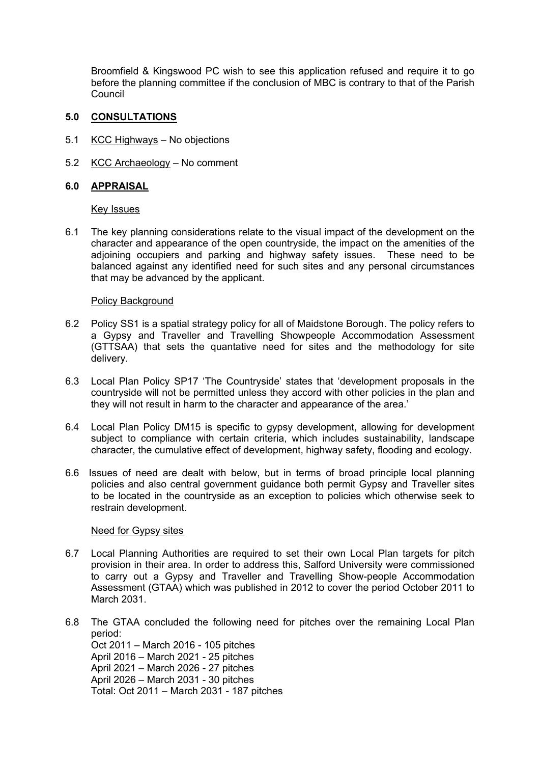Broomfield & Kingswood PC wish to see this application refused and require it to go before the planning committee if the conclusion of MBC is contrary to that of the Parish Council

### **5.0 CONSULTATIONS**

- 5.1 KCC Highways No objections
- 5.2 KCC Archaeology No comment

### **6.0 APPRAISAL**

Key Issues

6.1 The key planning considerations relate to the visual impact of the development on the character and appearance of the open countryside, the impact on the amenities of the adjoining occupiers and parking and highway safety issues. These need to be balanced against any identified need for such sites and any personal circumstances that may be advanced by the applicant.

### Policy Background

- 6.2 Policy SS1 is a spatial strategy policy for all of Maidstone Borough. The policy refers to a Gypsy and Traveller and Travelling Showpeople Accommodation Assessment (GTTSAA) that sets the quantative need for sites and the methodology for site delivery.
- 6.3 Local Plan Policy SP17 'The Countryside' states that 'development proposals in the countryside will not be permitted unless they accord with other policies in the plan and they will not result in harm to the character and appearance of the area.'
- 6.4 Local Plan Policy DM15 is specific to gypsy development, allowing for development subject to compliance with certain criteria, which includes sustainability, landscape character, the cumulative effect of development, highway safety, flooding and ecology.
- 6.6 Issues of need are dealt with below, but in terms of broad principle local planning policies and also central government guidance both permit Gypsy and Traveller sites to be located in the countryside as an exception to policies which otherwise seek to restrain development.

### Need for Gypsy sites

- 6.7 Local Planning Authorities are required to set their own Local Plan targets for pitch provision in their area. In order to address this, Salford University were commissioned to carry out a Gypsy and Traveller and Travelling Show-people Accommodation Assessment (GTAA) which was published in 2012 to cover the period October 2011 to March 2031.
- 6.8 The GTAA concluded the following need for pitches over the remaining Local Plan period: Oct 2011 – March 2016 - 105 pitches April 2016 – March 2021 - 25 pitches April 2021 – March 2026 - 27 pitches April 2026 – March 2031 - 30 pitches Total: Oct 2011 – March 2031 - 187 pitches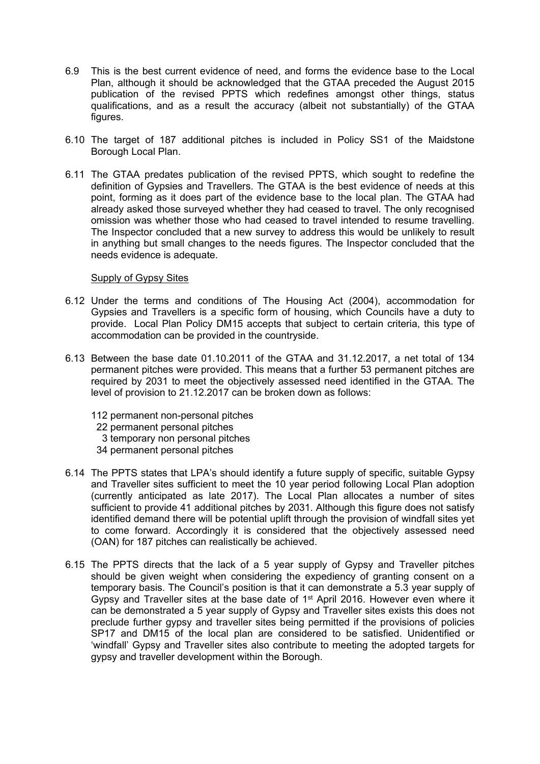- 6.9 This is the best current evidence of need, and forms the evidence base to the Local Plan, although it should be acknowledged that the GTAA preceded the August 2015 publication of the revised PPTS which redefines amongst other things, status qualifications, and as a result the accuracy (albeit not substantially) of the GTAA figures.
- 6.10 The target of 187 additional pitches is included in Policy SS1 of the Maidstone Borough Local Plan.
- 6.11 The GTAA predates publication of the revised PPTS, which sought to redefine the definition of Gypsies and Travellers. The GTAA is the best evidence of needs at this point, forming as it does part of the evidence base to the local plan. The GTAA had already asked those surveyed whether they had ceased to travel. The only recognised omission was whether those who had ceased to travel intended to resume travelling. The Inspector concluded that a new survey to address this would be unlikely to result in anything but small changes to the needs figures. The Inspector concluded that the needs evidence is adequate.

#### Supply of Gypsy Sites

- 6.12 Under the terms and conditions of The Housing Act (2004), accommodation for Gypsies and Travellers is a specific form of housing, which Councils have a duty to provide. Local Plan Policy DM15 accepts that subject to certain criteria, this type of accommodation can be provided in the countryside.
- 6.13 Between the base date 01.10.2011 of the GTAA and 31.12.2017, a net total of 134 permanent pitches were provided. This means that a further 53 permanent pitches are required by 2031 to meet the objectively assessed need identified in the GTAA. The level of provision to 21.12.2017 can be broken down as follows:
	- 112 permanent non-personal pitches
	- 22 permanent personal pitches
	- 3 temporary non personal pitches
	- 34 permanent personal pitches
- 6.14 The PPTS states that LPA's should identify a future supply of specific, suitable Gypsy and Traveller sites sufficient to meet the 10 year period following Local Plan adoption (currently anticipated as late 2017). The Local Plan allocates a number of sites sufficient to provide 41 additional pitches by 2031. Although this figure does not satisfy identified demand there will be potential uplift through the provision of windfall sites yet to come forward. Accordingly it is considered that the objectively assessed need (OAN) for 187 pitches can realistically be achieved.
- 6.15 The PPTS directs that the lack of a 5 year supply of Gypsy and Traveller pitches should be given weight when considering the expediency of granting consent on a temporary basis. The Council's position is that it can demonstrate a 5.3 year supply of Gypsy and Traveller sites at the base date of 1<sup>st</sup> April 2016. However even where it can be demonstrated a 5 year supply of Gypsy and Traveller sites exists this does not preclude further gypsy and traveller sites being permitted if the provisions of policies SP17 and DM15 of the local plan are considered to be satisfied. Unidentified or 'windfall' Gypsy and Traveller sites also contribute to meeting the adopted targets for gypsy and traveller development within the Borough.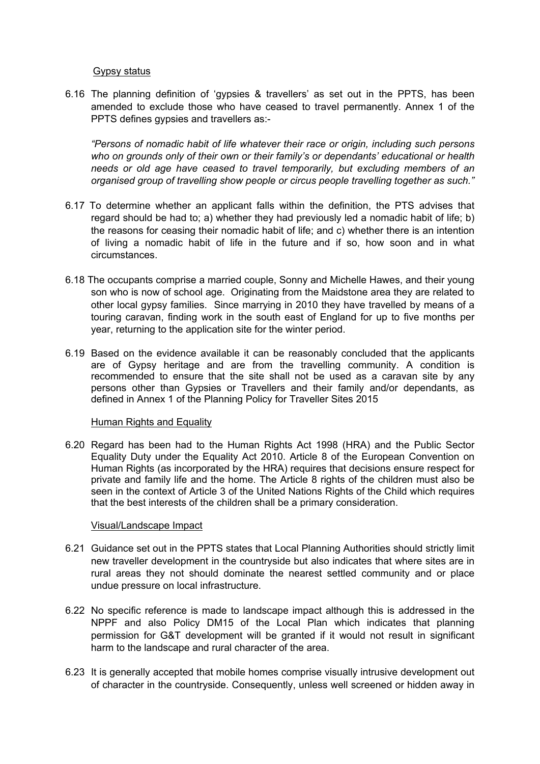#### Gypsy status

6.16 The planning definition of 'gypsies & travellers' as set out in the PPTS, has been amended to exclude those who have ceased to travel permanently. Annex 1 of the PPTS defines gypsies and travellers as:-

*"Persons of nomadic habit of life whatever their race or origin, including such persons who on grounds only of their own or their family's or dependants' educational or health needs or old age have ceased to travel temporarily, but excluding members of an organised group of travelling show people or circus people travelling together as such."*

- 6.17 To determine whether an applicant falls within the definition, the PTS advises that regard should be had to; a) whether they had previously led a nomadic habit of life; b) the reasons for ceasing their nomadic habit of life; and c) whether there is an intention of living a nomadic habit of life in the future and if so, how soon and in what circumstances.
- 6.18 The occupants comprise a married couple, Sonny and Michelle Hawes, and their young son who is now of school age. Originating from the Maidstone area they are related to other local gypsy families. Since marrying in 2010 they have travelled by means of a touring caravan, finding work in the south east of England for up to five months per year, returning to the application site for the winter period.
- 6.19 Based on the evidence available it can be reasonably concluded that the applicants are of Gypsy heritage and are from the travelling community. A condition is recommended to ensure that the site shall not be used as a caravan site by any persons other than Gypsies or Travellers and their family and/or dependants, as defined in Annex 1 of the Planning Policy for Traveller Sites 2015

#### Human Rights and Equality

6.20 Regard has been had to the Human Rights Act 1998 (HRA) and the Public Sector Equality Duty under the Equality Act 2010. Article 8 of the European Convention on Human Rights (as incorporated by the HRA) requires that decisions ensure respect for private and family life and the home. The Article 8 rights of the children must also be seen in the context of Article 3 of the United Nations Rights of the Child which requires that the best interests of the children shall be a primary consideration.

### Visual/Landscape Impact

- 6.21 Guidance set out in the PPTS states that Local Planning Authorities should strictly limit new traveller development in the countryside but also indicates that where sites are in rural areas they not should dominate the nearest settled community and or place undue pressure on local infrastructure.
- 6.22 No specific reference is made to landscape impact although this is addressed in the NPPF and also Policy DM15 of the Local Plan which indicates that planning permission for G&T development will be granted if it would not result in significant harm to the landscape and rural character of the area.
- 6.23 It is generally accepted that mobile homes comprise visually intrusive development out of character in the countryside. Consequently, unless well screened or hidden away in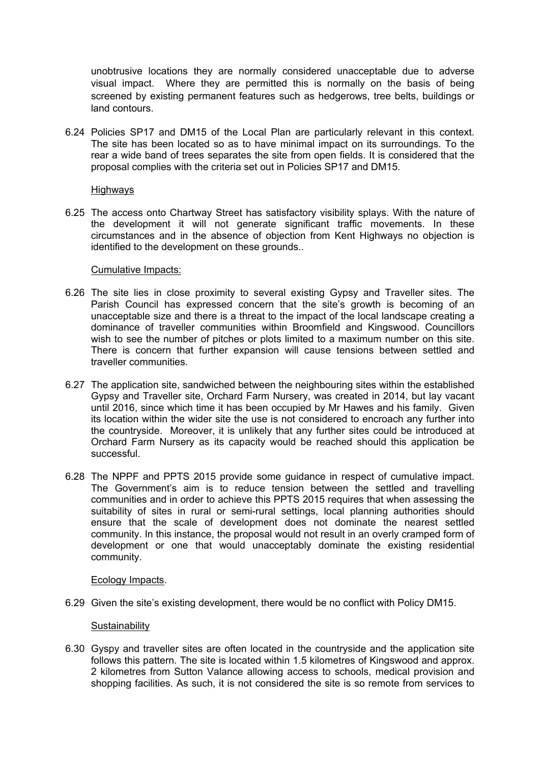unobtrusive locations they are normally considered unacceptable due to adverse visual impact. Where they are permitted this is normally on the basis of being screened by existing permanent features such as hedgerows, tree belts, buildings or land contours.

6.24 Policies SP17 and DM15 of the Local Plan are particularly relevant in this context. The site has been located so as to have minimal impact on its surroundings. To the rear a wide band of trees separates the site from open fields. It is considered that the proposal complies with the criteria set out in Policies SP17 and DM15.

#### **Highways**

6.25 The access onto Chartway Street has satisfactory visibility splays. With the nature of the development it will not generate significant traffic movements. In these circumstances and in the absence of objection from Kent Highways no objection is identified to the development on these grounds..

### Cumulative Impacts:

- 6.26 The site lies in close proximity to several existing Gypsy and Traveller sites. The Parish Council has expressed concern that the site's growth is becoming of an unacceptable size and there is a threat to the impact of the local landscape creating a dominance of traveller communities within Broomfield and Kingswood. Councillors wish to see the number of pitches or plots limited to a maximum number on this site. There is concern that further expansion will cause tensions between settled and traveller communities.
- 6.27 The application site, sandwiched between the neighbouring sites within the established Gypsy and Traveller site, Orchard Farm Nursery, was created in 2014, but lay vacant until 2016, since which time it has been occupied by Mr Hawes and his family. Given its location within the wider site the use is not considered to encroach any further into the countryside. Moreover, it is unlikely that any further sites could be introduced at Orchard Farm Nursery as its capacity would be reached should this application be successful.
- 6.28 The NPPF and PPTS 2015 provide some guidance in respect of cumulative impact. The Government's aim is to reduce tension between the settled and travelling communities and in order to achieve this PPTS 2015 requires that when assessing the suitability of sites in rural or semi-rural settings, local planning authorities should ensure that the scale of development does not dominate the nearest settled community. In this instance, the proposal would not result in an overly cramped form of development or one that would unacceptably dominate the existing residential community.

#### Ecology Impacts.

6.29 Given the site's existing development, there would be no conflict with Policy DM15.

### **Sustainability**

6.30 Gyspy and traveller sites are often located in the countryside and the application site follows this pattern. The site is located within 1.5 kilometres of Kingswood and approx. 2 kilometres from Sutton Valance allowing access to schools, medical provision and shopping facilities. As such, it is not considered the site is so remote from services to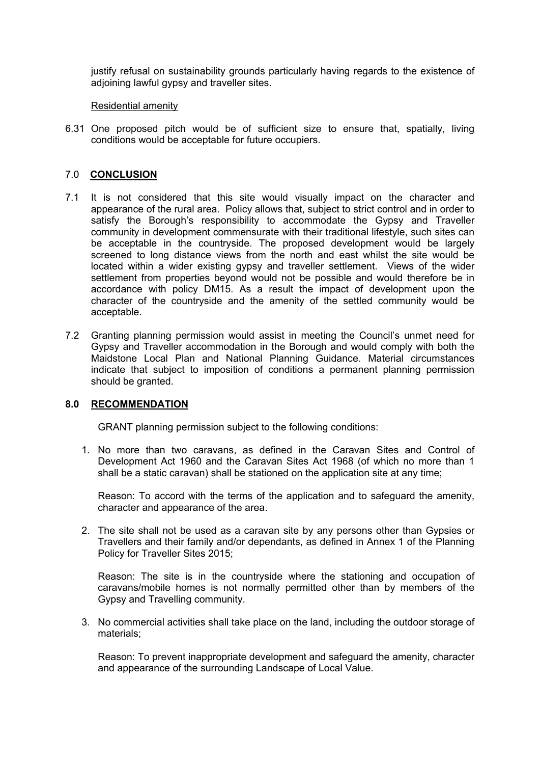justify refusal on sustainability grounds particularly having regards to the existence of adjoining lawful gypsy and traveller sites.

#### Residential amenity

6.31 One proposed pitch would be of sufficient size to ensure that, spatially, living conditions would be acceptable for future occupiers.

## 7.0 **CONCLUSION**

- 7.1 It is not considered that this site would visually impact on the character and appearance of the rural area. Policy allows that, subject to strict control and in order to satisfy the Borough's responsibility to accommodate the Gypsy and Traveller community in development commensurate with their traditional lifestyle, such sites can be acceptable in the countryside. The proposed development would be largely screened to long distance views from the north and east whilst the site would be located within a wider existing gypsy and traveller settlement. Views of the wider settlement from properties beyond would not be possible and would therefore be in accordance with policy DM15. As a result the impact of development upon the character of the countryside and the amenity of the settled community would be acceptable.
- 7.2 Granting planning permission would assist in meeting the Council's unmet need for Gypsy and Traveller accommodation in the Borough and would comply with both the Maidstone Local Plan and National Planning Guidance. Material circumstances indicate that subject to imposition of conditions a permanent planning permission should be granted.

### **8.0 RECOMMENDATION**

GRANT planning permission subject to the following conditions:

1. No more than two caravans, as defined in the Caravan Sites and Control of Development Act 1960 and the Caravan Sites Act 1968 (of which no more than 1 shall be a static caravan) shall be stationed on the application site at any time;

Reason: To accord with the terms of the application and to safeguard the amenity, character and appearance of the area.

2. The site shall not be used as a caravan site by any persons other than Gypsies or Travellers and their family and/or dependants, as defined in Annex 1 of the Planning Policy for Traveller Sites 2015;

Reason: The site is in the countryside where the stationing and occupation of caravans/mobile homes is not normally permitted other than by members of the Gypsy and Travelling community.

3. No commercial activities shall take place on the land, including the outdoor storage of materials;

Reason: To prevent inappropriate development and safeguard the amenity, character and appearance of the surrounding Landscape of Local Value.